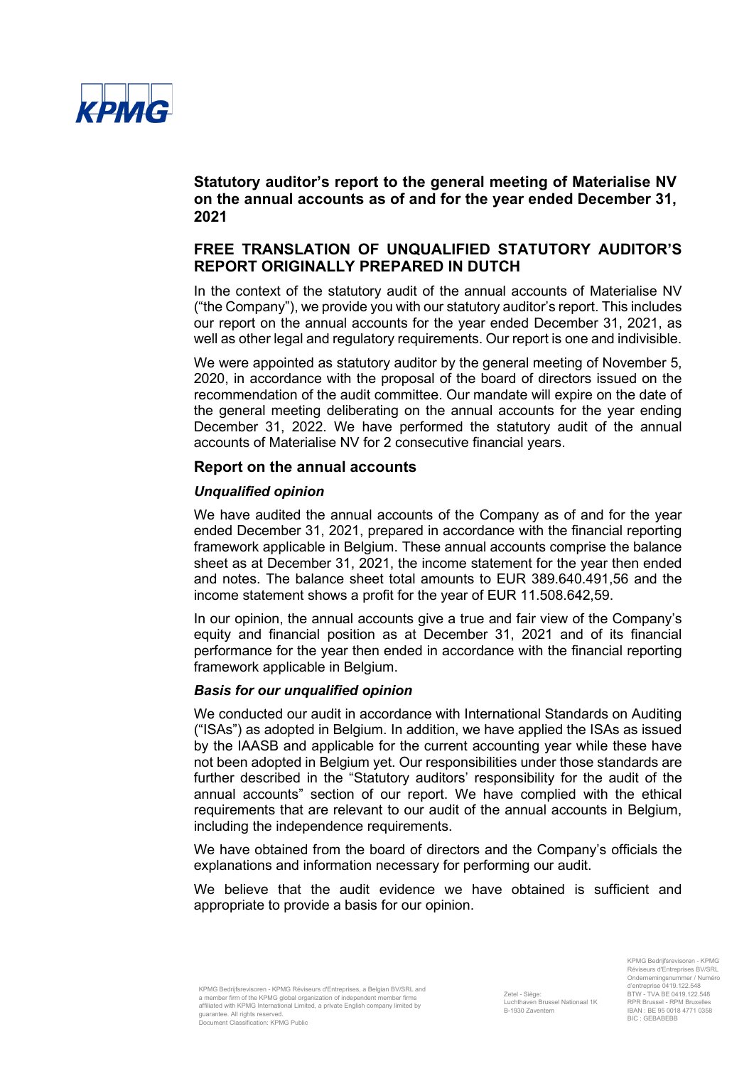

# **FREE TRANSLATION OF UNQUALIFIED STATUTORY AUDITOR'S REPORT ORIGINALLY PREPARED IN DUTCH**

In the context of the statutory audit of the annual accounts of Materialise NV ("the Company"), we provide you with our statutory auditor's report. This includes our report on the annual accounts for the year ended December 31, 2021, as well as other legal and regulatory requirements. Our report is one and indivisible.

We were appointed as statutory auditor by the general meeting of November 5, 2020, in accordance with the proposal of the board of directors issued on the recommendation of the audit committee. Our mandate will expire on the date of the general meeting deliberating on the annual accounts for the year ending December 31, 2022. We have performed the statutory audit of the annual accounts of Materialise NV for 2 consecutive financial years.

# **Report on the annual accounts**

# *Unqualified opinion*

We have audited the annual accounts of the Company as of and for the year ended December 31, 2021, prepared in accordance with the financial reporting framework applicable in Belgium. These annual accounts comprise the balance sheet as at December 31, 2021, the income statement for the year then ended and notes. The balance sheet total amounts to EUR 389.640.491,56 and the income statement shows a profit for the year of EUR 11.508.642,59.

In our opinion, the annual accounts give a true and fair view of the Company's equity and financial position as at December 31, 2021 and of its financial performance for the year then ended in accordance with the financial reporting framework applicable in Belgium.

# *Basis for our unqualified opinion*

We conducted our audit in accordance with International Standards on Auditing ("ISAs") as adopted in Belgium. In addition, we have applied the ISAs as issued by the IAASB and applicable for the current accounting year while these have not been adopted in Belgium yet. Our responsibilities under those standards are further described in the "Statutory auditors' responsibility for the audit of the annual accounts" section of our report. We have complied with the ethical requirements that are relevant to our audit of the annual accounts in Belgium, including the independence requirements.

We have obtained from the board of directors and the Company's officials the explanations and information necessary for performing our audit.

We believe that the audit evidence we have obtained is sufficient and appropriate to provide a basis for our opinion.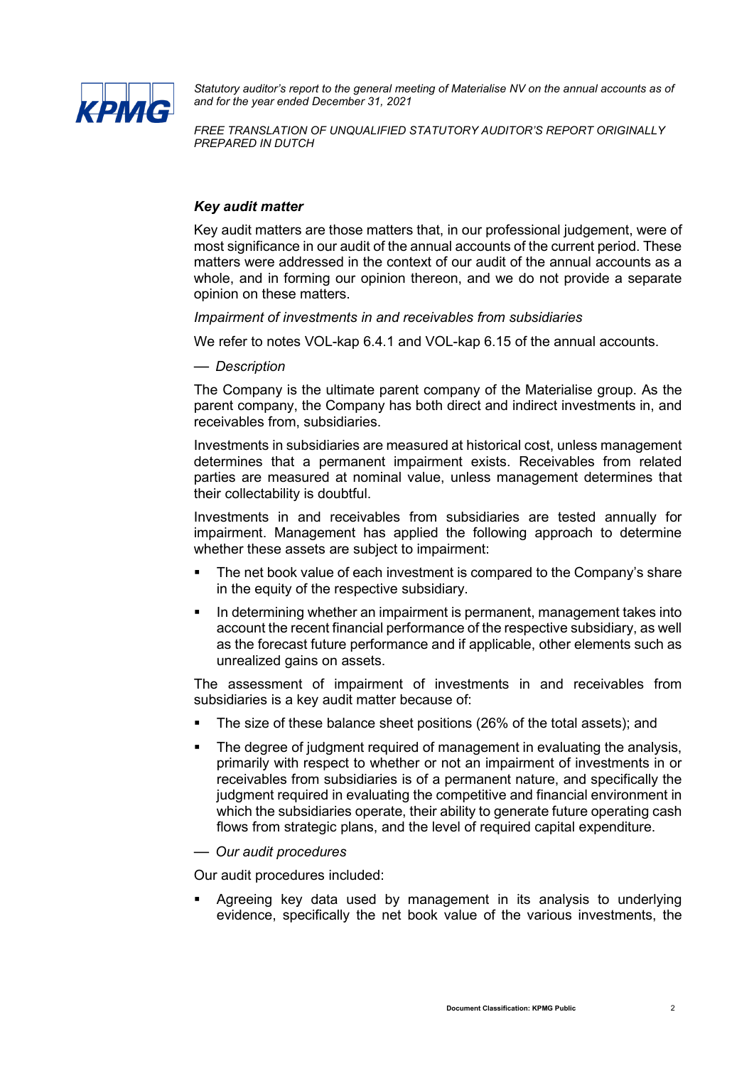

*FREE TRANSLATION OF UNQUALIFIED STATUTORY AUDITOR'S REPORT ORIGINALLY PREPARED IN DUTCH* 

## *Key audit matter*

Key audit matters are those matters that, in our professional judgement, were of most significance in our audit of the annual accounts of the current period. These matters were addressed in the context of our audit of the annual accounts as a whole, and in forming our opinion thereon, and we do not provide a separate opinion on these matters.

*Impairment of investments in and receivables from subsidiaries*

We refer to notes VOL-kap 6.4.1 and VOL-kap 6.15 of the annual accounts.

— *Description*

The Company is the ultimate parent company of the Materialise group. As the parent company, the Company has both direct and indirect investments in, and receivables from, subsidiaries.

Investments in subsidiaries are measured at historical cost, unless management determines that a permanent impairment exists. Receivables from related parties are measured at nominal value, unless management determines that their collectability is doubtful.

Investments in and receivables from subsidiaries are tested annually for impairment. Management has applied the following approach to determine whether these assets are subject to impairment:

- The net book value of each investment is compared to the Company's share in the equity of the respective subsidiary.
- **IF** In determining whether an impairment is permanent, management takes into account the recent financial performance of the respective subsidiary, as well as the forecast future performance and if applicable, other elements such as unrealized gains on assets.

The assessment of impairment of investments in and receivables from subsidiaries is a key audit matter because of:

- The size of these balance sheet positions (26% of the total assets); and
- The degree of judgment required of management in evaluating the analysis, primarily with respect to whether or not an impairment of investments in or receivables from subsidiaries is of a permanent nature, and specifically the judgment required in evaluating the competitive and financial environment in which the subsidiaries operate, their ability to generate future operating cash flows from strategic plans, and the level of required capital expenditure.
- *Our audit procedures*

Our audit procedures included:

 Agreeing key data used by management in its analysis to underlying evidence, specifically the net book value of the various investments, the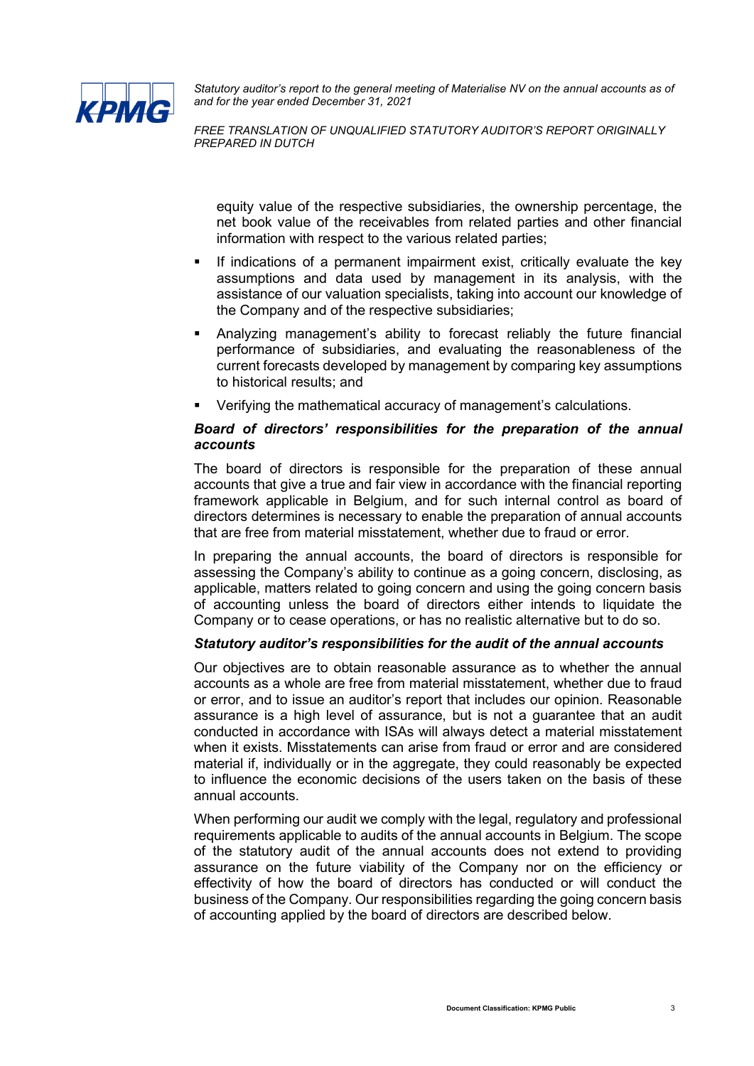

*FREE TRANSLATION OF UNQUALIFIED STATUTORY AUDITOR'S REPORT ORIGINALLY PREPARED IN DUTCH* 

equity value of the respective subsidiaries, the ownership percentage, the net book value of the receivables from related parties and other financial information with respect to the various related parties;

- If indications of a permanent impairment exist, critically evaluate the key assumptions and data used by management in its analysis, with the assistance of our valuation specialists, taking into account our knowledge of the Company and of the respective subsidiaries;
- Analyzing management's ability to forecast reliably the future financial performance of subsidiaries, and evaluating the reasonableness of the current forecasts developed by management by comparing key assumptions to historical results; and
- Verifying the mathematical accuracy of management's calculations.

## *Board of directors' responsibilities for the preparation of the annual accounts*

The board of directors is responsible for the preparation of these annual accounts that give a true and fair view in accordance with the financial reporting framework applicable in Belgium, and for such internal control as board of directors determines is necessary to enable the preparation of annual accounts that are free from material misstatement, whether due to fraud or error.

In preparing the annual accounts, the board of directors is responsible for assessing the Company's ability to continue as a going concern, disclosing, as applicable, matters related to going concern and using the going concern basis of accounting unless the board of directors either intends to liquidate the Company or to cease operations, or has no realistic alternative but to do so.

## *Statutory auditor's responsibilities for the audit of the annual accounts*

Our objectives are to obtain reasonable assurance as to whether the annual accounts as a whole are free from material misstatement, whether due to fraud or error, and to issue an auditor's report that includes our opinion. Reasonable assurance is a high level of assurance, but is not a guarantee that an audit conducted in accordance with ISAs will always detect a material misstatement when it exists. Misstatements can arise from fraud or error and are considered material if, individually or in the aggregate, they could reasonably be expected to influence the economic decisions of the users taken on the basis of these annual accounts.

When performing our audit we comply with the legal, regulatory and professional requirements applicable to audits of the annual accounts in Belgium. The scope of the statutory audit of the annual accounts does not extend to providing assurance on the future viability of the Company nor on the efficiency or effectivity of how the board of directors has conducted or will conduct the business of the Company. Our responsibilities regarding the going concern basis of accounting applied by the board of directors are described below.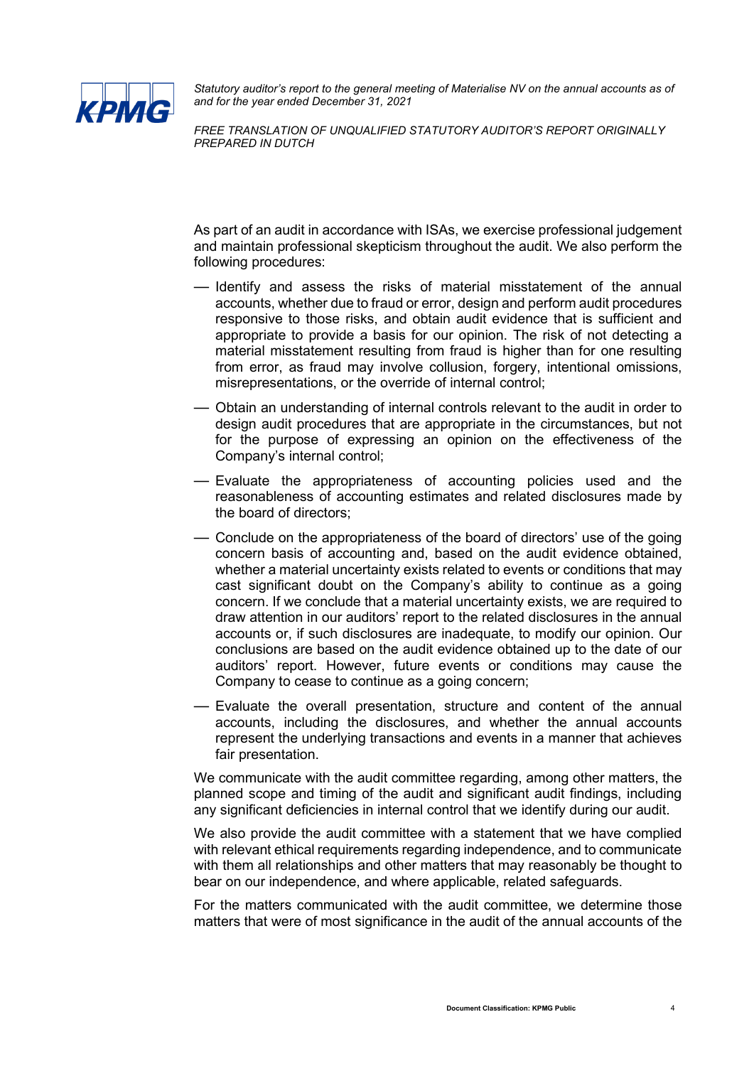

*FREE TRANSLATION OF UNQUALIFIED STATUTORY AUDITOR'S REPORT ORIGINALLY PREPARED IN DUTCH* 

As part of an audit in accordance with ISAs, we exercise professional judgement and maintain professional skepticism throughout the audit. We also perform the following procedures:

- Identify and assess the risks of material misstatement of the annual accounts, whether due to fraud or error, design and perform audit procedures responsive to those risks, and obtain audit evidence that is sufficient and appropriate to provide a basis for our opinion. The risk of not detecting a material misstatement resulting from fraud is higher than for one resulting from error, as fraud may involve collusion, forgery, intentional omissions, misrepresentations, or the override of internal control;
- Obtain an understanding of internal controls relevant to the audit in order to design audit procedures that are appropriate in the circumstances, but not for the purpose of expressing an opinion on the effectiveness of the Company's internal control;
- Evaluate the appropriateness of accounting policies used and the reasonableness of accounting estimates and related disclosures made by the board of directors;
- Conclude on the appropriateness of the board of directors' use of the going concern basis of accounting and, based on the audit evidence obtained, whether a material uncertainty exists related to events or conditions that may cast significant doubt on the Company's ability to continue as a going concern. If we conclude that a material uncertainty exists, we are required to draw attention in our auditors' report to the related disclosures in the annual accounts or, if such disclosures are inadequate, to modify our opinion. Our conclusions are based on the audit evidence obtained up to the date of our auditors' report. However, future events or conditions may cause the Company to cease to continue as a going concern;
- Evaluate the overall presentation, structure and content of the annual accounts, including the disclosures, and whether the annual accounts represent the underlying transactions and events in a manner that achieves fair presentation.

We communicate with the audit committee regarding, among other matters, the planned scope and timing of the audit and significant audit findings, including any significant deficiencies in internal control that we identify during our audit.

We also provide the audit committee with a statement that we have complied with relevant ethical requirements regarding independence, and to communicate with them all relationships and other matters that may reasonably be thought to bear on our independence, and where applicable, related safeguards.

For the matters communicated with the audit committee, we determine those matters that were of most significance in the audit of the annual accounts of the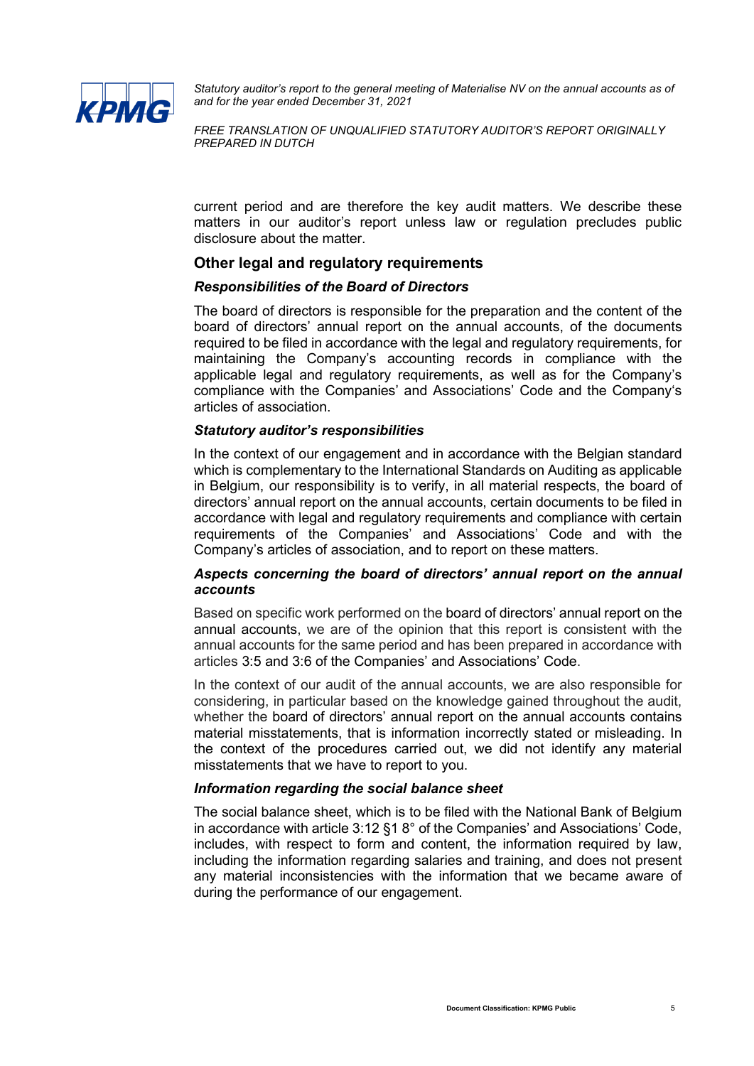

*FREE TRANSLATION OF UNQUALIFIED STATUTORY AUDITOR'S REPORT ORIGINALLY PREPARED IN DUTCH* 

current period and are therefore the key audit matters. We describe these matters in our auditor's report unless law or regulation precludes public disclosure about the matter.

#### **Other legal and regulatory requirements**

#### *Responsibilities of the Board of Directors*

The board of directors is responsible for the preparation and the content of the board of directors' annual report on the annual accounts, of the documents required to be filed in accordance with the legal and regulatory requirements, for maintaining the Company's accounting records in compliance with the applicable legal and regulatory requirements, as well as for the Company's compliance with the Companies' and Associations' Code and the Company's articles of association.

#### *Statutory auditor's responsibilities*

In the context of our engagement and in accordance with the Belgian standard which is complementary to the International Standards on Auditing as applicable in Belgium, our responsibility is to verify, in all material respects, the board of directors' annual report on the annual accounts, certain documents to be filed in accordance with legal and regulatory requirements and compliance with certain requirements of the Companies' and Associations' Code and with the Company's articles of association, and to report on these matters.

## *Aspects concerning the board of directors' annual report on the annual accounts*

Based on specific work performed on the board of directors' annual report on the annual accounts, we are of the opinion that this report is consistent with the annual accounts for the same period and has been prepared in accordance with articles 3:5 and 3:6 of the Companies' and Associations' Code.

In the context of our audit of the annual accounts, we are also responsible for considering, in particular based on the knowledge gained throughout the audit, whether the board of directors' annual report on the annual accounts contains material misstatements, that is information incorrectly stated or misleading. In the context of the procedures carried out, we did not identify any material misstatements that we have to report to you.

#### *Information regarding the social balance sheet*

The social balance sheet, which is to be filed with the National Bank of Belgium in accordance with article 3:12 §1 8° of the Companies' and Associations' Code, includes, with respect to form and content, the information required by law, including the information regarding salaries and training, and does not present any material inconsistencies with the information that we became aware of during the performance of our engagement.